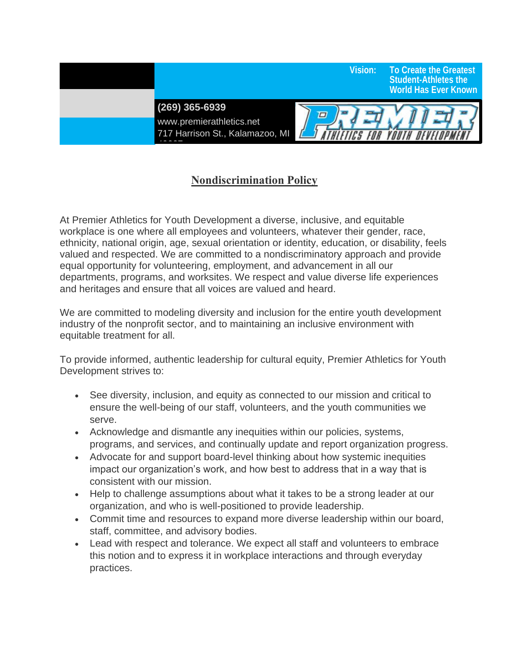**(269) 365-6939** 

49007

www.premierathletics.net 717 Harrison St., Kalamazoo, MI



 **Vision: To Create the Greatest** 

 **Student-Athletes the World Has Ever Known**

## **Nondiscrimination Policy**

At Premier Athletics for Youth Development a diverse, inclusive, and equitable workplace is one where all employees and volunteers, whatever their gender, race, ethnicity, national origin, age, sexual orientation or identity, education, or disability, feels valued and respected. We are committed to a nondiscriminatory approach and provide equal opportunity for volunteering, employment, and advancement in all our departments, programs, and worksites. We respect and value diverse life experiences and heritages and ensure that all voices are valued and heard.

We are committed to modeling diversity and inclusion for the entire youth development industry of the nonprofit sector, and to maintaining an inclusive environment with equitable treatment for all.

To provide informed, authentic leadership for cultural equity, Premier Athletics for Youth Development strives to:

- See diversity, inclusion, and equity as connected to our mission and critical to ensure the well-being of our staff, volunteers, and the youth communities we serve.
- Acknowledge and dismantle any inequities within our policies, systems, programs, and services, and continually update and report organization progress.
- Advocate for and support board-level thinking about how systemic inequities impact our organization's work, and how best to address that in a way that is consistent with our mission.
- Help to challenge assumptions about what it takes to be a strong leader at our organization, and who is well-positioned to provide leadership.
- Commit time and resources to expand more diverse leadership within our board, staff, committee, and advisory bodies.
- Lead with respect and tolerance. We expect all staff and volunteers to embrace this notion and to express it in workplace interactions and through everyday practices.